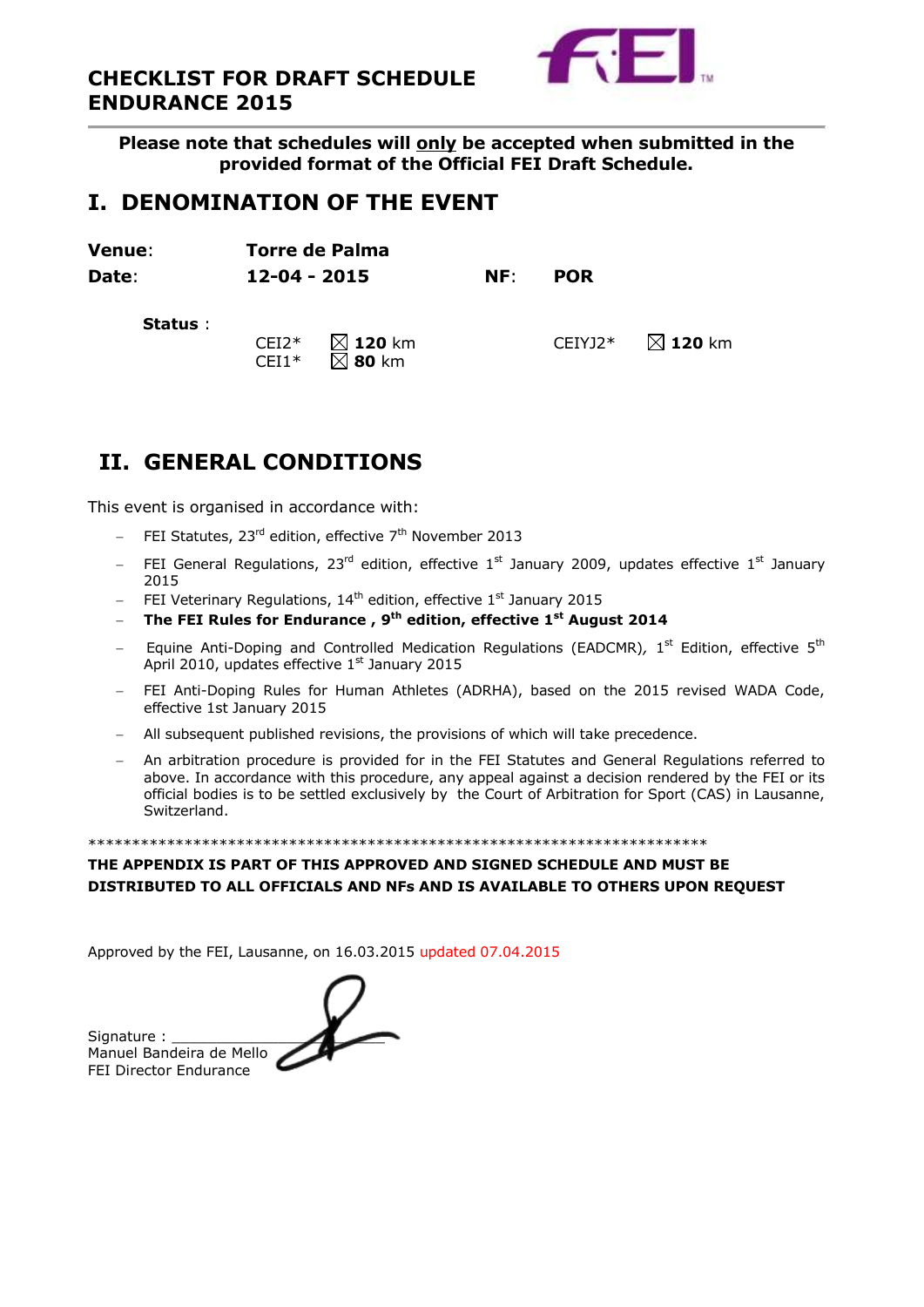



**Please note that schedules will only be accepted when submitted in the provided format of the Official FEI Draft Schedule.**

# **I. DENOMINATION OF THE EVENT**

**Venue**: **Torre de Palma Date**: **12-04 - 2015 NF**: **POR Status** : CEI2\* **120** km CEIYJ2\* **120** km  $CEI1*$   $\overline{\boxtimes}$  **80** km

# **II. GENERAL CONDITIONS**

This event is organised in accordance with:

- FEI Statutes, 23<sup>rd</sup> edition, effective 7<sup>th</sup> November 2013
- FEI General Regulations,  $23^{\text{rd}}$  edition, effective  $1^{\text{st}}$  January 2009, updates effective  $1^{\text{st}}$  January 2015
- FEI Veterinary Regulations,  $14<sup>th</sup>$  edition, effective  $1<sup>st</sup>$  January 2015
- **The FEI Rules for Endurance , 9 th edition, effective 1st August 2014**
- Equine Anti-Doping and Controlled Medication Regulations (EADCMR), 1<sup>st</sup> Edition, effective 5<sup>th</sup> April 2010, updates effective 1<sup>st</sup> January 2015
- FEI Anti-Doping Rules for Human Athletes (ADRHA), based on the 2015 revised WADA Code, effective 1st January 2015
- All subsequent published revisions, the provisions of which will take precedence.
- An arbitration procedure is provided for in the FEI Statutes and General Regulations referred to above. In accordance with this procedure, any appeal against a decision rendered by the FEI or its official bodies is to be settled exclusively by the Court of Arbitration for Sport (CAS) in Lausanne, Switzerland.

\*\*\*\*\*\*\*\*\*\*\*\*\*\*\*\*\*\*\*\*\*\*\*\*\*\*\*\*\*\*\*\*\*\*\*\*\*\*\*\*\*\*\*\*\*\*\*\*\*\*\*\*\*\*\*\*\*\*\*\*\*\*\*\*\*\*\*\*\*\*\*

#### **THE APPENDIX IS PART OF THIS APPROVED AND SIGNED SCHEDULE AND MUST BE DISTRIBUTED TO ALL OFFICIALS AND NFs AND IS AVAILABLE TO OTHERS UPON REQUEST**

Approved by the FEI, Lausanne, on 16.03.2015 updated 07.04.2015

Signature : Manuel Bandeira de Mello FEI Director Endurance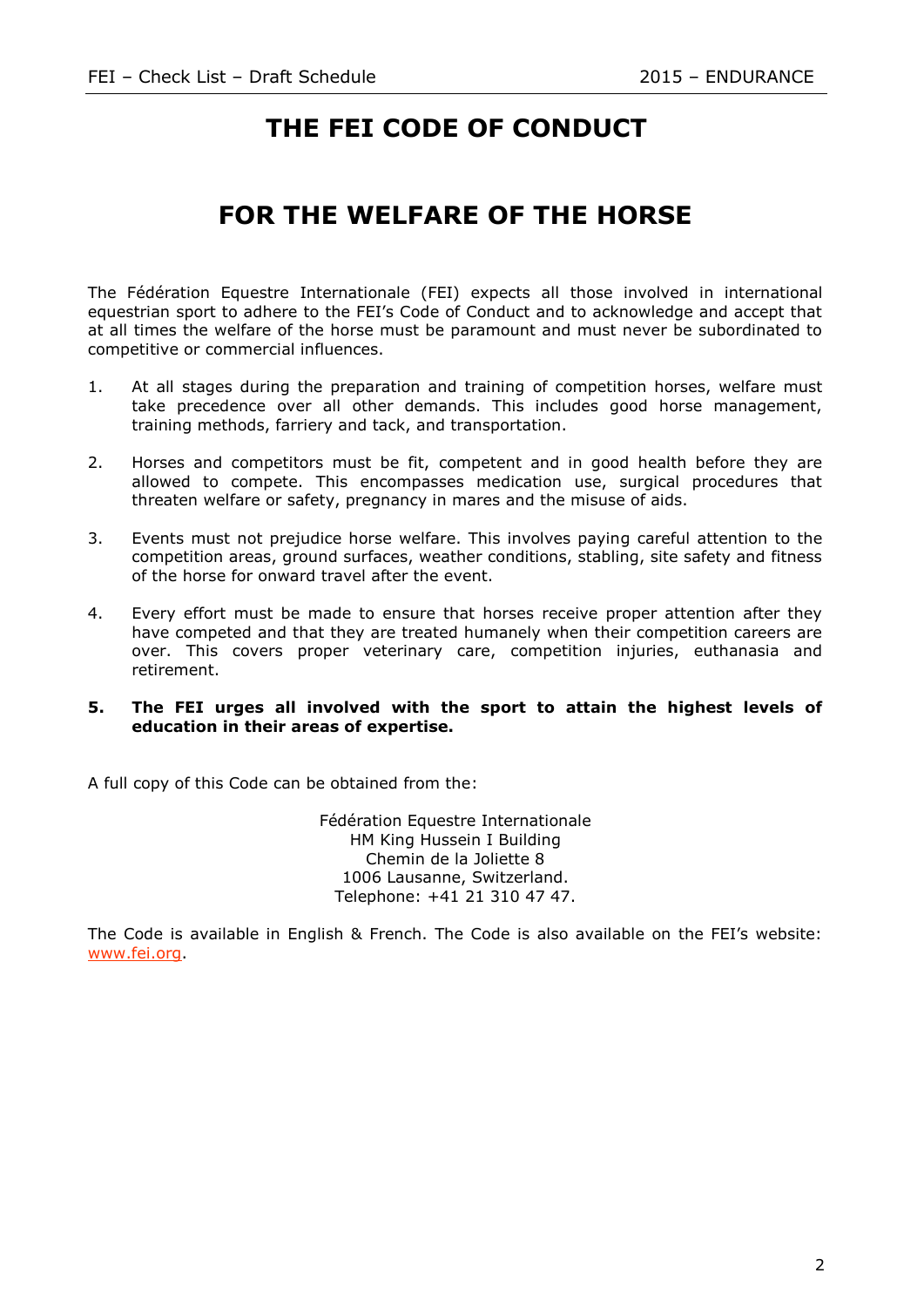# **THE FEI CODE OF CONDUCT**

# **FOR THE WELFARE OF THE HORSE**

The Fédération Equestre Internationale (FEI) expects all those involved in international equestrian sport to adhere to the FEI's Code of Conduct and to acknowledge and accept that at all times the welfare of the horse must be paramount and must never be subordinated to competitive or commercial influences.

- 1. At all stages during the preparation and training of competition horses, welfare must take precedence over all other demands. This includes good horse management, training methods, farriery and tack, and transportation.
- 2. Horses and competitors must be fit, competent and in good health before they are allowed to compete. This encompasses medication use, surgical procedures that threaten welfare or safety, pregnancy in mares and the misuse of aids.
- 3. Events must not prejudice horse welfare. This involves paying careful attention to the competition areas, ground surfaces, weather conditions, stabling, site safety and fitness of the horse for onward travel after the event.
- 4. Every effort must be made to ensure that horses receive proper attention after they have competed and that they are treated humanely when their competition careers are over. This covers proper veterinary care, competition injuries, euthanasia and retirement.

#### **5. The FEI urges all involved with the sport to attain the highest levels of education in their areas of expertise.**

A full copy of this Code can be obtained from the:

Fédération Equestre Internationale HM King Hussein I Building Chemin de la Joliette 8 1006 Lausanne, Switzerland. Telephone: +41 21 310 47 47.

The Code is available in English & French. The Code is also available on the FEI's website: [www.fei.org.](http://www.fei.org/)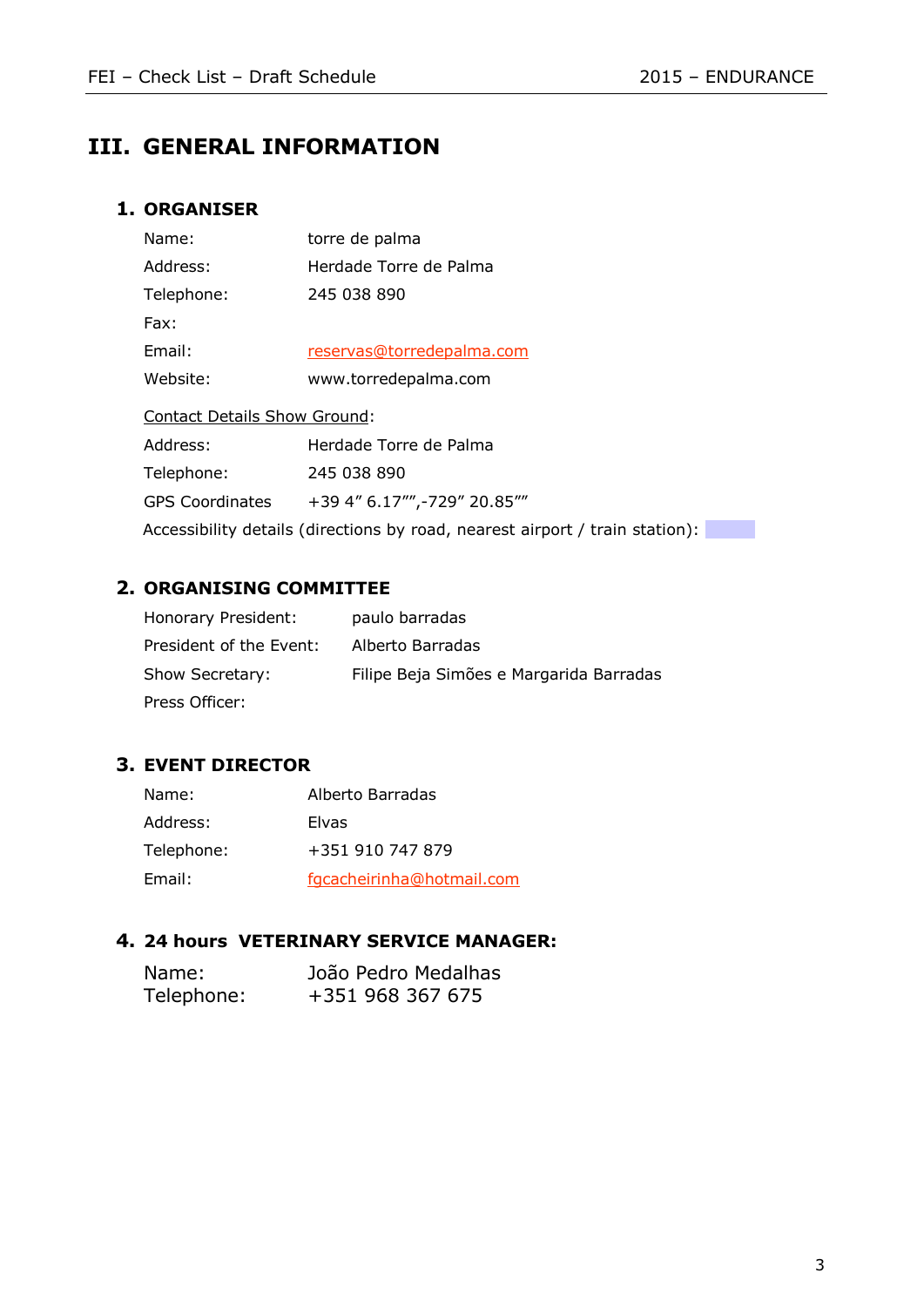# **III. GENERAL INFORMATION**

## **1. ORGANISER**

| Name:                  | torre de palma                                                               |  |  |  |  |
|------------------------|------------------------------------------------------------------------------|--|--|--|--|
| Address:               | Herdade Torre de Palma                                                       |  |  |  |  |
| Telephone:             | 245 038 890                                                                  |  |  |  |  |
| Fax:                   |                                                                              |  |  |  |  |
| Email:                 | reservas@torredepalma.com                                                    |  |  |  |  |
| Website:               | www.torredepalma.com                                                         |  |  |  |  |
|                        | <b>Contact Details Show Ground:</b>                                          |  |  |  |  |
| Address:               | Herdade Torre de Palma                                                       |  |  |  |  |
| Telephone:             | 245 038 890                                                                  |  |  |  |  |
| <b>GPS Coordinates</b> | +39 4" 6.17"",-729" 20.85""                                                  |  |  |  |  |
|                        | Accessibility details (directions by road, nearest airport / train station): |  |  |  |  |

## **2. ORGANISING COMMITTEE**

| Honorary President:     | paulo barradas                          |
|-------------------------|-----------------------------------------|
| President of the Event: | Alberto Barradas                        |
| Show Secretary:         | Filipe Beja Simões e Margarida Barradas |
| Press Officer:          |                                         |

## **3. EVENT DIRECTOR**

| Name:      | Alberto Barradas          |
|------------|---------------------------|
| Address:   | Elvas                     |
| Telephone: | +351 910 747 879          |
| Email:     | fgcacheirinha@hotmail.com |

## **4. 24 hours VETERINARY SERVICE MANAGER:**

| Name:      | João Pedro Medalhas |
|------------|---------------------|
| Telephone: | +351 968 367 675    |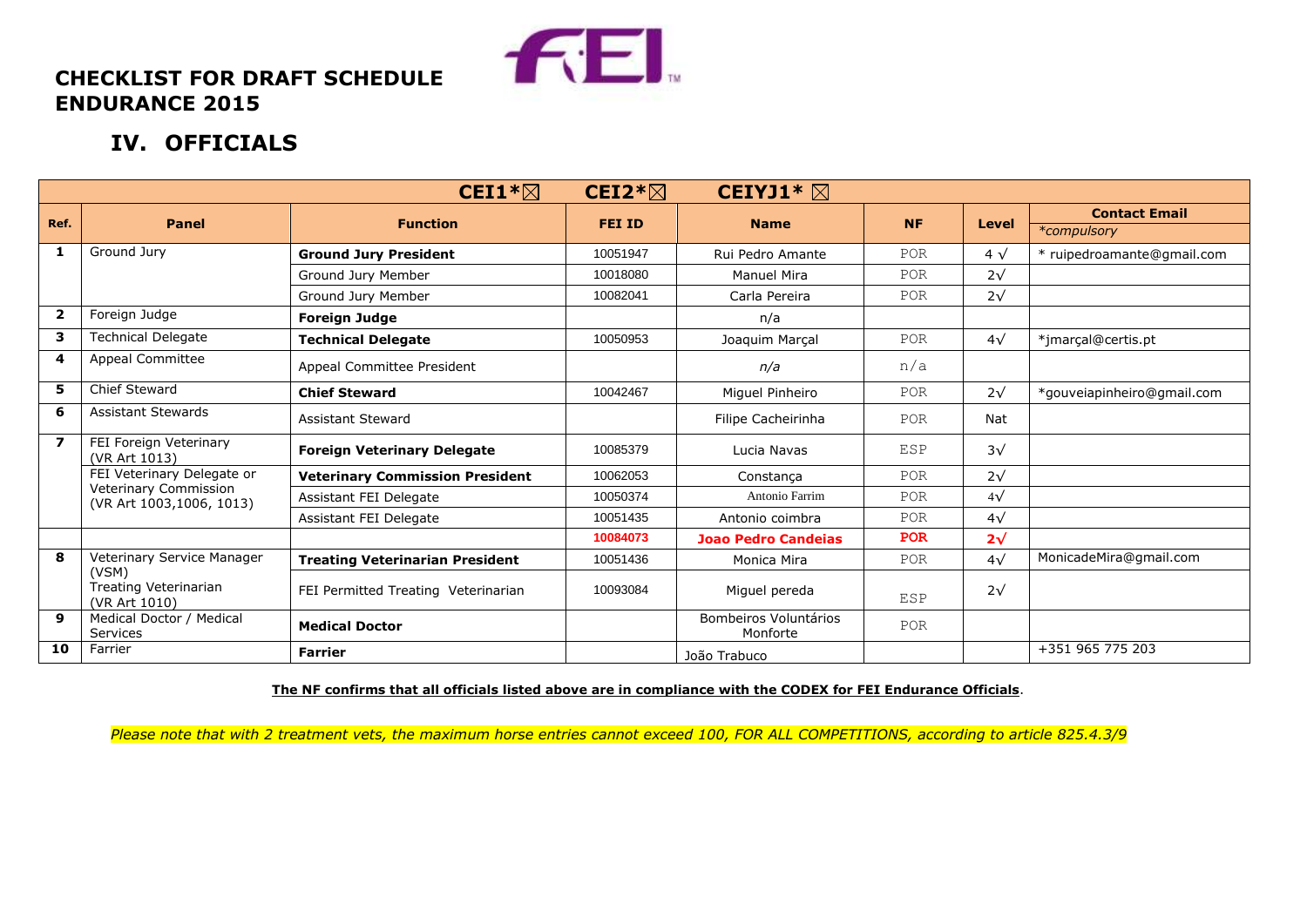

# **CHECKLIST FOR DRAFT SCHEDULE ENDURANCE 2015**

# **IV. OFFICIALS**

|                         |                                                   | CEI1 $*\boxtimes$                      | CEI2 $*\boxtimes$ | CEIYJ1* $\boxtimes$               |            |              |                            |
|-------------------------|---------------------------------------------------|----------------------------------------|-------------------|-----------------------------------|------------|--------------|----------------------------|
| Ref.<br>Panel           |                                                   |                                        | <b>FEI ID</b>     |                                   | <b>NF</b>  |              | <b>Contact Email</b>       |
|                         |                                                   | <b>Function</b>                        |                   | <b>Name</b>                       |            | <b>Level</b> | *compulsory                |
| 1                       | Ground Jury                                       | <b>Ground Jury President</b>           | 10051947          | Rui Pedro Amante                  | POR        | $4\sqrt{ }$  | * ruipedroamante@gmail.com |
|                         |                                                   | Ground Jury Member                     | 10018080          | Manuel Mira                       | POR        | $2\sqrt{ }$  |                            |
|                         |                                                   | Ground Jury Member                     | 10082041          | Carla Pereira                     | POR        | $2\sqrt{ }$  |                            |
| $\mathbf{2}$            | Foreign Judge                                     | <b>Foreign Judge</b>                   |                   | n/a                               |            |              |                            |
| 3                       | <b>Technical Delegate</b>                         | <b>Technical Delegate</b>              | 10050953          | Joaquim Marçal                    | POR        | $4\sqrt{ }$  | *jmarçal@certis.pt         |
| 4                       | Appeal Committee                                  | Appeal Committee President             |                   | n/a                               | n/a        |              |                            |
| 5                       | <b>Chief Steward</b>                              | <b>Chief Steward</b>                   | 10042467          | Miguel Pinheiro                   | POR        | $2\sqrt{ }$  | *gouveiapinheiro@gmail.com |
| 6                       | <b>Assistant Stewards</b>                         | Assistant Steward                      |                   | Filipe Cacheirinha                | POR        | Nat          |                            |
| $\overline{\mathbf{z}}$ | FEI Foreign Veterinary<br>(VR Art 1013)           | <b>Foreign Veterinary Delegate</b>     | 10085379          | Lucia Navas                       | <b>ESP</b> | $3\sqrt{ }$  |                            |
|                         | FEI Veterinary Delegate or                        | <b>Veterinary Commission President</b> | 10062053          | Constanca                         | POR        | $2\sqrt{ }$  |                            |
|                         | Veterinary Commission<br>(VR Art 1003,1006, 1013) | Assistant FEI Delegate                 | 10050374          | Antonio Farrim                    | POR        | $4\sqrt{ }$  |                            |
|                         |                                                   | Assistant FEI Delegate                 | 10051435          | Antonio coimbra                   | POR        | $4\sqrt{ }$  |                            |
|                         |                                                   |                                        | 10084073          | <b>Joao Pedro Candeias</b>        | <b>POR</b> | $2\sqrt{ }$  |                            |
| 8                       | Veterinary Service Manager                        | <b>Treating Veterinarian President</b> | 10051436          | Monica Mira                       | POR        | $4\sqrt{ }$  | MonicadeMira@gmail.com     |
|                         | (VSM)<br>Treating Veterinarian<br>(VR Art 1010)   | FEI Permitted Treating Veterinarian    | 10093084          | Miguel pereda                     | ESP        | $2\sqrt{ }$  |                            |
| 9                       | Medical Doctor / Medical<br>Services              | <b>Medical Doctor</b>                  |                   | Bombeiros Voluntários<br>Monforte | POR        |              |                            |
| 10                      | Farrier                                           | <b>Farrier</b>                         |                   | João Trabuco                      |            |              | +351 965 775 203           |

**The NF confirms that all officials listed above are in compliance with the CODEX for FEI Endurance Officials**.

*Please note that with 2 treatment vets, the maximum horse entries cannot exceed 100, FOR ALL COMPETITIONS, according to article 825.4.3/9*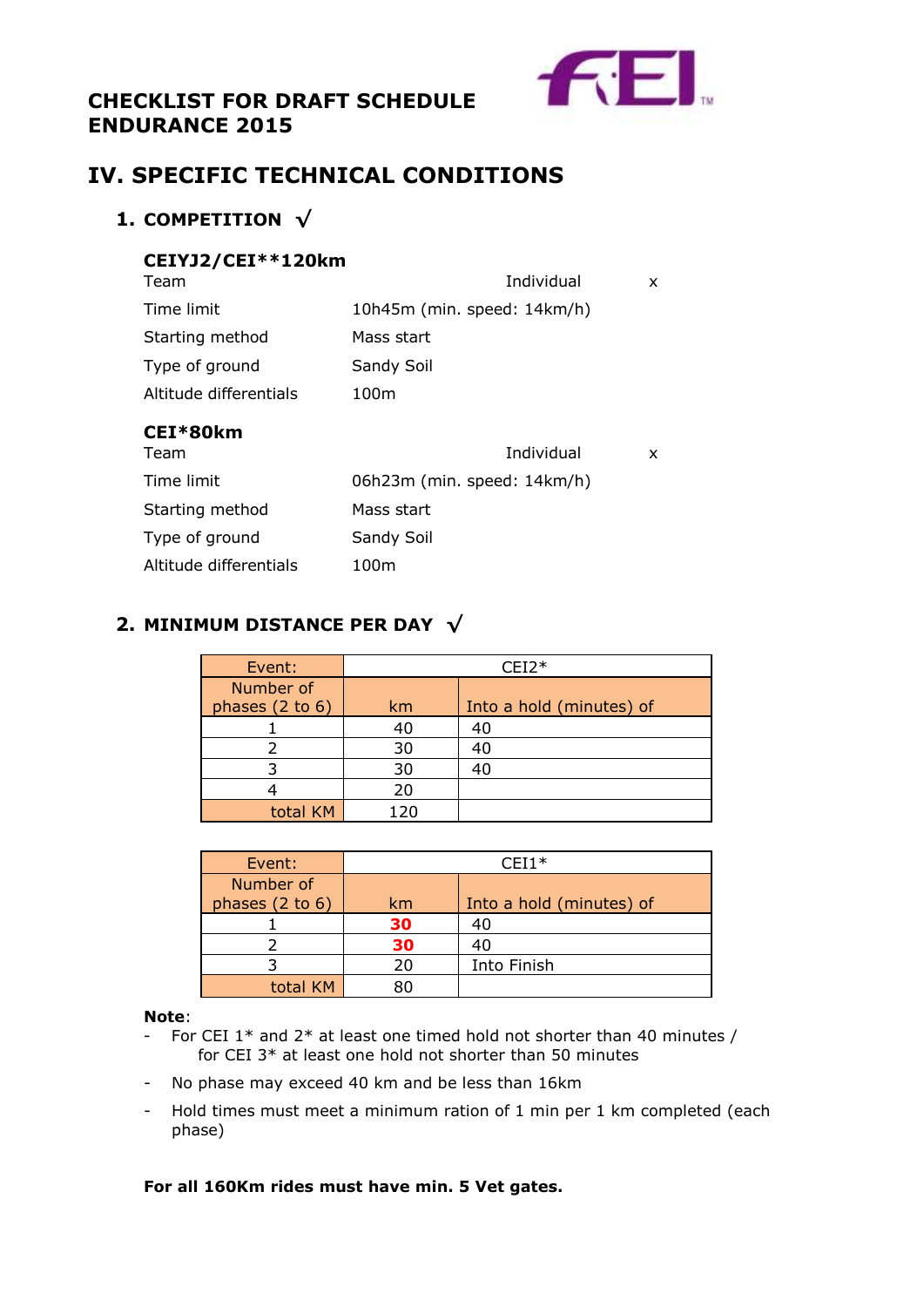# **CHECKLIST FOR DRAFT SCHEDULE ENDURANCE 2015**



# **IV. SPECIFIC TECHNICAL CONDITIONS**

# **1. COMPETITION √**

## **CEIYJ2/CEI\*\*120km**

| CEI*80km<br>$T_{\rm A}$ | $T = T_{\text{max}}$        | $\lambda$ |
|-------------------------|-----------------------------|-----------|
| Altitude differentials  | 100m                        |           |
| Type of ground          | Sandy Soil                  |           |
| Starting method         | Mass start                  |           |
| Time limit              | 10h45m (min. speed: 14km/h) |           |
| Team                    | Individual                  | x         |

| Individual                  |  |
|-----------------------------|--|
| 06h23m (min. speed: 14km/h) |  |
| Mass start                  |  |
| Sandy Soil                  |  |
| 100m                        |  |
|                             |  |

# **2. MINIMUM DISTANCE PER DAY √**

| Event:                         |     | $CEI2*$                  |
|--------------------------------|-----|--------------------------|
| Number of<br>phases $(2 to 6)$ | km  | Into a hold (minutes) of |
|                                | 40  | 40                       |
|                                | 30  | 40                       |
|                                | 30  |                          |
|                                | 20  |                          |
| total KM                       | 120 |                          |

| Event:                       |    | $CFI1*$                  |
|------------------------------|----|--------------------------|
| Number of<br>phases (2 to 6) | km | Into a hold (minutes) of |
|                              | 30 | 40                       |
|                              | 30 |                          |
|                              | 20 | Into Finish              |
| total KM                     |    |                          |

#### **Note**:

- For CEI  $1*$  and  $2*$  at least one timed hold not shorter than 40 minutes / for CEI 3\* at least one hold not shorter than 50 minutes
- No phase may exceed 40 km and be less than 16km
- Hold times must meet a minimum ration of 1 min per 1 km completed (each phase)

### **For all 160Km rides must have min. 5 Vet gates.**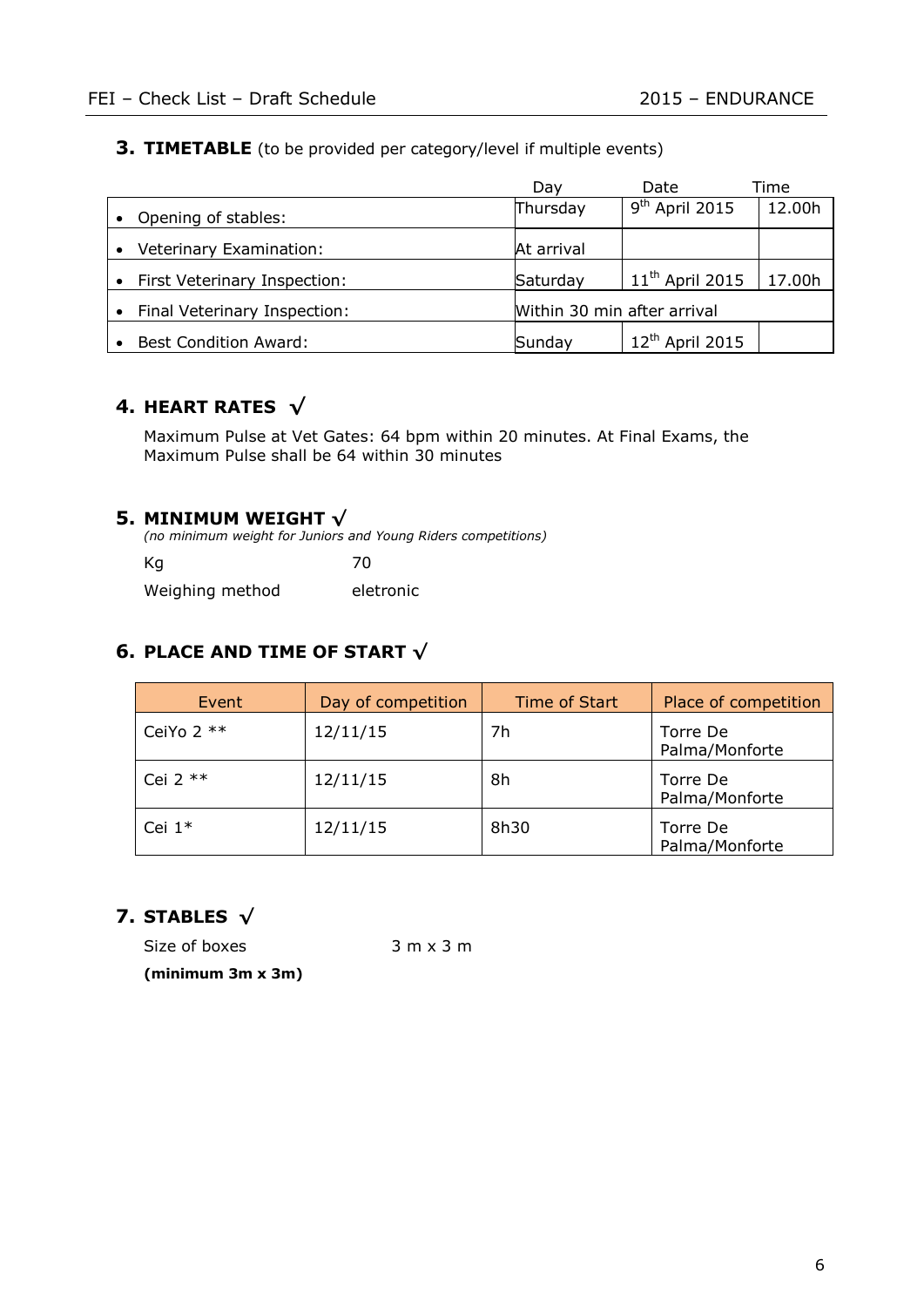## **3. TIMETABLE** (to be provided per category/level if multiple events)

|                                      | Dav        | Date                        | Time   |  |
|--------------------------------------|------------|-----------------------------|--------|--|
| Opening of stables:                  | Thursday   | $9th$ April 2015            | 12.00h |  |
| Veterinary Examination:<br>$\bullet$ | At arrival |                             |        |  |
| • First Veterinary Inspection:       | Saturday   | $11th$ April 2015           | 17.00h |  |
| Final Veterinary Inspection:         |            | Within 30 min after arrival |        |  |
| <b>Best Condition Award:</b>         | Sunday     | 12 <sup>th</sup> April 2015 |        |  |

# **4. HEART RATES √**

Maximum Pulse at Vet Gates: 64 bpm within 20 minutes. At Final Exams, the Maximum Pulse shall be 64 within 30 minutes

## **5. MINIMUM WEIGHT √**

*(no minimum weight for Juniors and Young Riders competitions)* Kg 70 Weighing method eletronic

# **6. PLACE AND TIME OF START √**

| Event       | Day of competition | Time of Start | Place of competition       |
|-------------|--------------------|---------------|----------------------------|
| CeiYo $2**$ | 12/11/15           | 7h            | Torre De<br>Palma/Monforte |
| Cei $2$ **  | 12/11/15           | 8h            | Torre De<br>Palma/Monforte |
| Cei $1*$    | 12/11/15           | 8h30          | Torre De<br>Palma/Monforte |

# **7. STABLES √**

Size of boxes 3 m x 3 m **(minimum 3m x 3m)**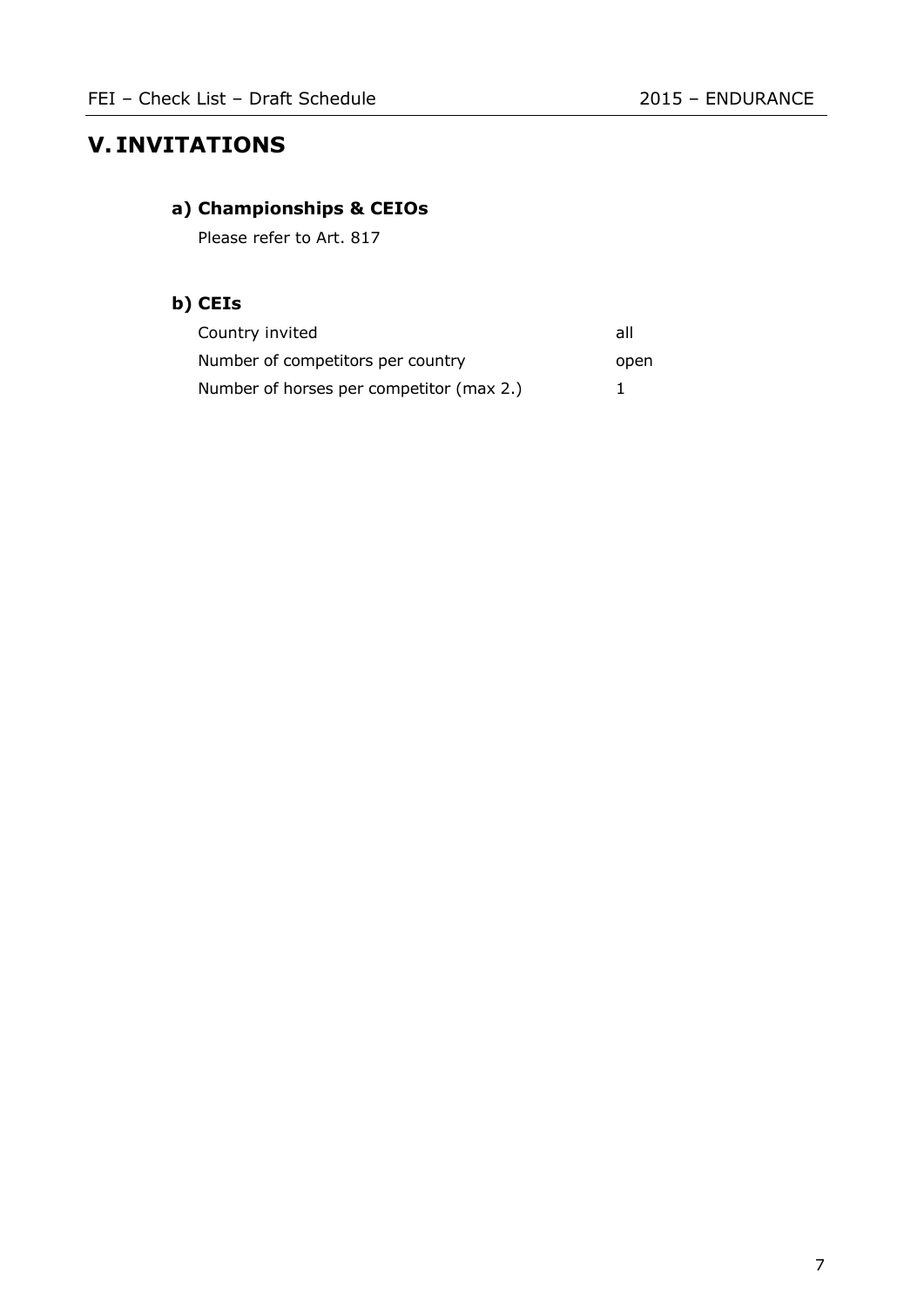# **V. INVITATIONS**

# **a) Championships & CEIOs**

Please refer to Art. 817

# **b) CEIs**

| Country invited                          | all  |
|------------------------------------------|------|
| Number of competitors per country        | open |
| Number of horses per competitor (max 2.) |      |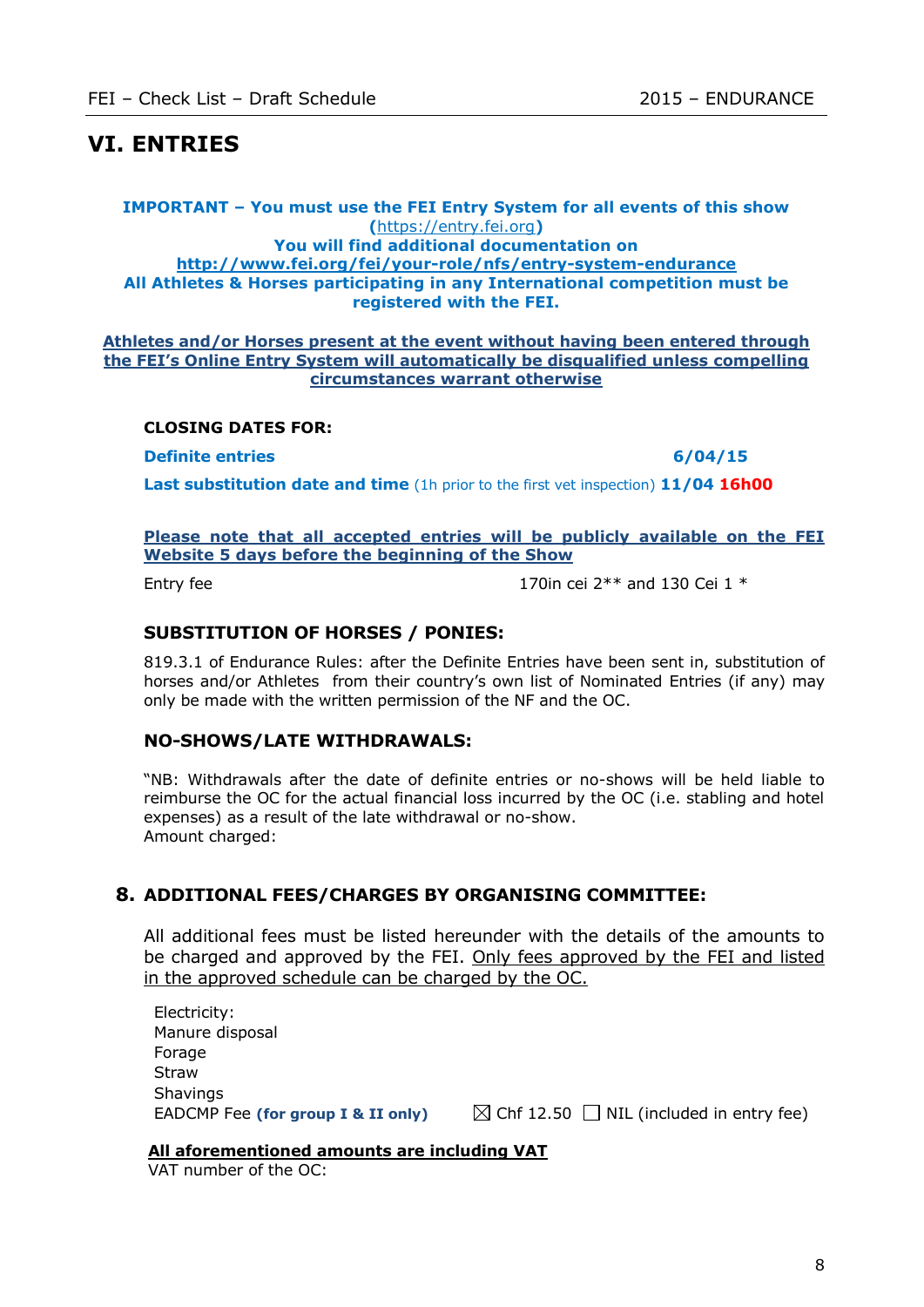# **VI. ENTRIES**

#### **IMPORTANT – You must use the FEI Entry System for all events of this show (**[https://entry.fei.org](https://entry.fei.org/)**) You will find additional documentation on <http://www.fei.org/fei/your-role/nfs/entry-system-endurance> All Athletes & Horses participating in any International competition must be registered with the FEI.**

#### **Athletes and/or Horses present at the event without having been entered through the FEI's Online Entry System will automatically be disqualified unless compelling circumstances warrant otherwise**

#### **CLOSING DATES FOR:**

**Definite entries 6/04/15**

**Last substitution date and time** (1h prior to the first vet inspection) **11/04 16h00**

#### **Please note that all accepted entries will be publicly available on the FEI Website 5 days before the beginning of the Show**

Entry fee 170in cei 2<sup>\*\*</sup> and 130 Cei 1<sup>\*</sup>

### **SUBSTITUTION OF HORSES / PONIES:**

819.3.1 of Endurance Rules: after the Definite Entries have been sent in, substitution of horses and/or Athletes from their country's own list of Nominated Entries (if any) may only be made with the written permission of the NF and the OC.

### **NO-SHOWS/LATE WITHDRAWALS:**

"NB: Withdrawals after the date of definite entries or no-shows will be held liable to reimburse the OC for the actual financial loss incurred by the OC (i.e. stabling and hotel expenses) as a result of the late withdrawal or no-show. Amount charged:

### **8. ADDITIONAL FEES/CHARGES BY ORGANISING COMMITTEE:**

All additional fees must be listed hereunder with the details of the amounts to be charged and approved by the FEI. Only fees approved by the FEI and listed in the approved schedule can be charged by the OC.

Electricity: Manure disposal Forage **Straw Shavings** EADCMP Fee (for group I & II only)  $\boxtimes$  Chf 12.50  $\Box$  NIL (included in entry fee)

#### **All aforementioned amounts are including VAT**

VAT number of the OC: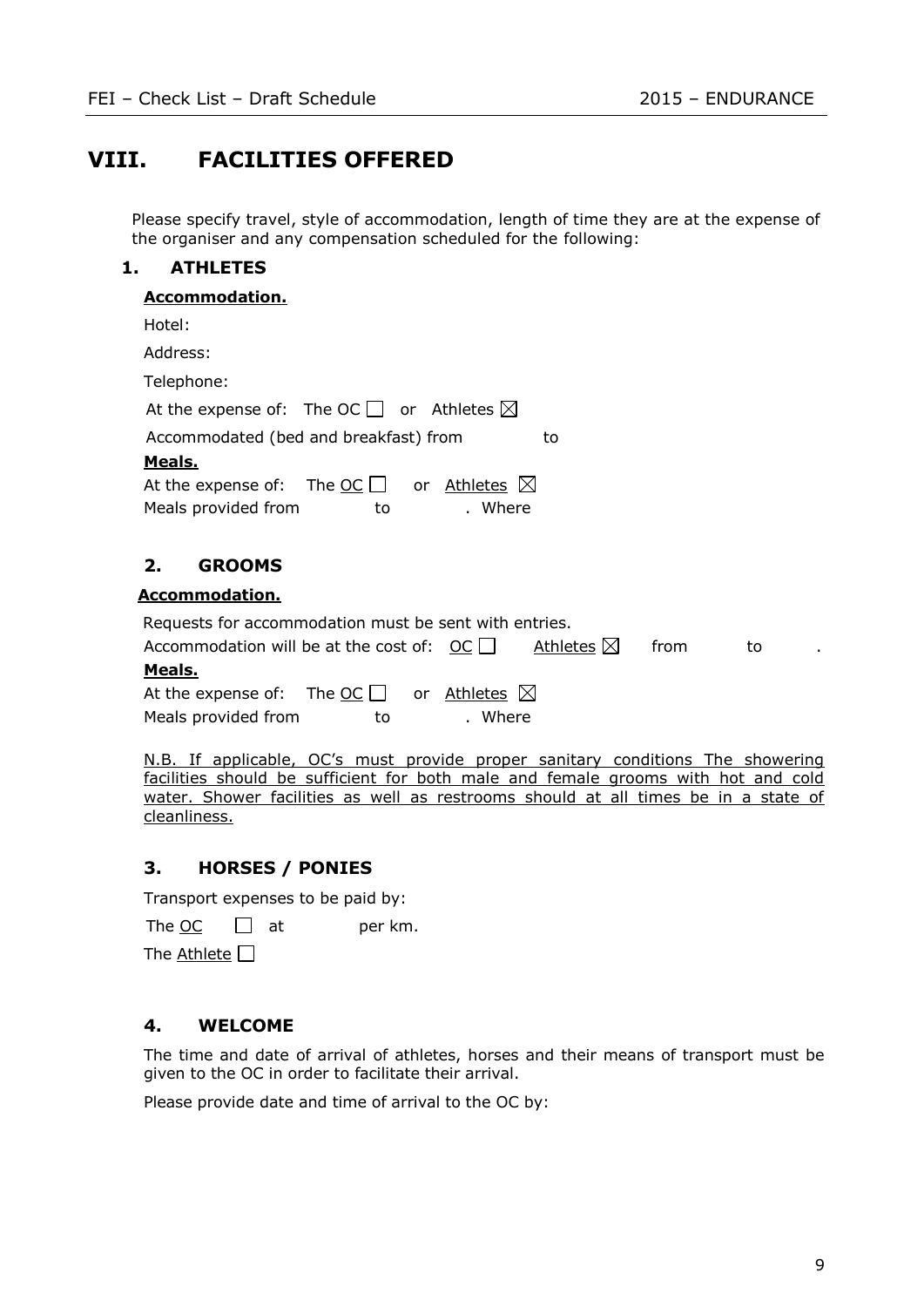# **VIII. FACILITIES OFFERED**

Please specify travel, style of accommodation, length of time they are at the expense of the organiser and any compensation scheduled for the following:

### **1. ATHLETES**

### **Accommodation.**

| Hotel:                                                                       |    |
|------------------------------------------------------------------------------|----|
| Address:                                                                     |    |
| Telephone:                                                                   |    |
| At the expense of: The OC $\Box$ or Athletes $\boxtimes$                     |    |
| Accommodated (bed and breakfast) from<br>to                                  |    |
| Meals.                                                                       |    |
| At the expense of: The $OC$ or Athletes $\boxtimes$                          |    |
| Meals provided from<br>. Where<br>to                                         |    |
| <b>GROOMS</b><br>2.                                                          |    |
| <b>Accommodation.</b>                                                        |    |
| Requests for accommodation must be sent with entries.                        |    |
| Accommodation will be at the cost of: OC    <br>Athletes $\boxtimes$<br>from | to |
| Meals.                                                                       |    |
| $\mathbf{A}$                                                                 |    |

| At the expense of:  | The OC $\Box$ | or <u>Athletes</u> $\boxtimes$ |  |
|---------------------|---------------|--------------------------------|--|
| Meals provided from | to            | Where                          |  |

N.B. If applicable, OC's must provide proper sanitary conditions The showering facilities should be sufficient for both male and female grooms with hot and cold water. Shower facilities as well as restrooms should at all times be in a state of cleanliness.

### **3. HORSES / PONIES**

Transport expenses to be paid by:

The OC  $\Box$  at per km.

The Athlete  $\Box$ 

#### **4. WELCOME**

The time and date of arrival of athletes, horses and their means of transport must be given to the OC in order to facilitate their arrival.

Please provide date and time of arrival to the OC by: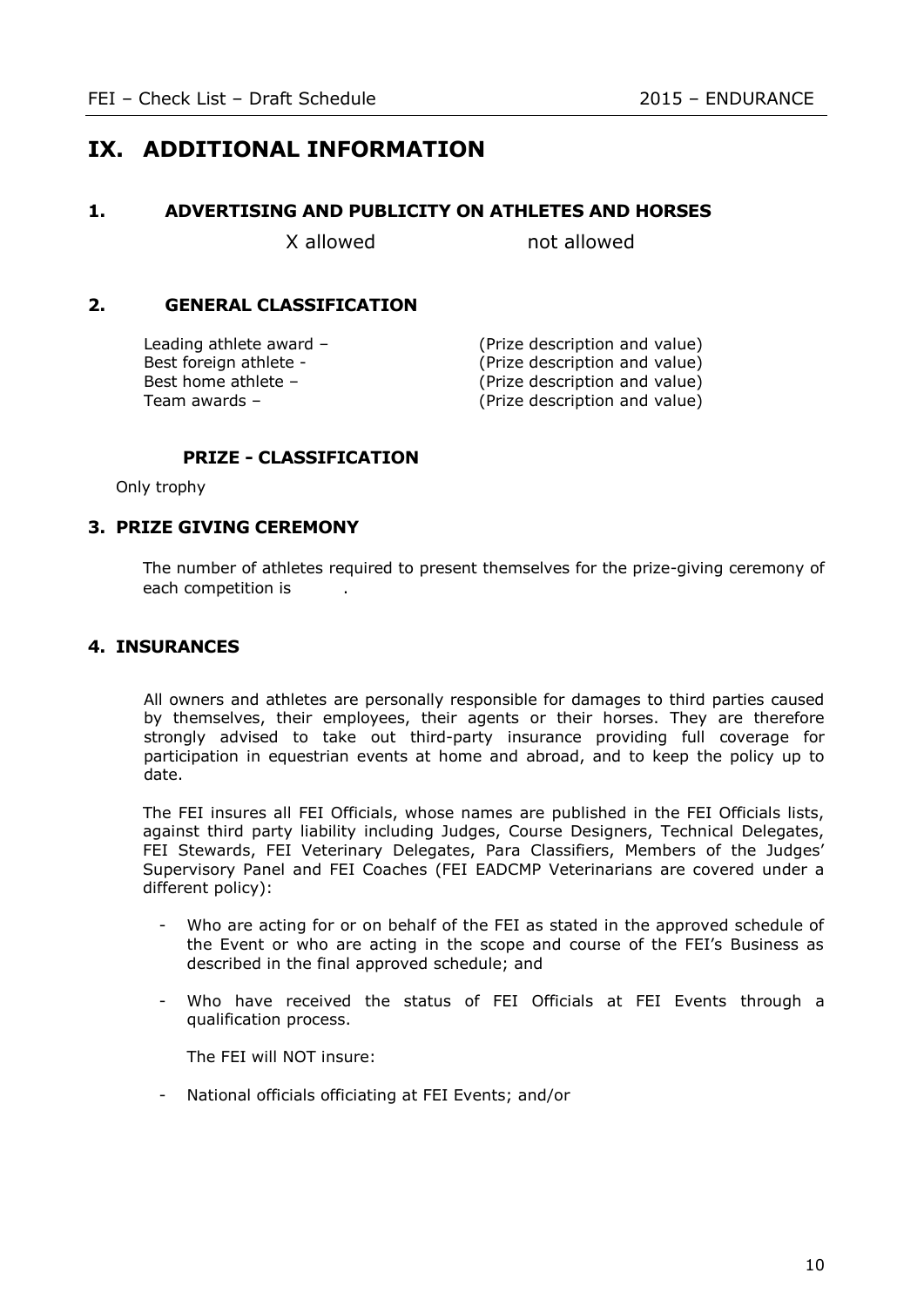# **IX. ADDITIONAL INFORMATION**

#### **1. ADVERTISING AND PUBLICITY ON ATHLETES AND HORSES**

X allowed not allowed

### **2. GENERAL CLASSIFICATION**

Leading athlete award – (Prize description and value) Best foreign athlete - (Prize description and value) Best home athlete – (Prize description and value) Team awards – (Prize description and value)

### **PRIZE - CLASSIFICATION**

Only trophy

#### **3. PRIZE GIVING CEREMONY**

The number of athletes required to present themselves for the prize-giving ceremony of each competition is

### **4. INSURANCES**

All owners and athletes are personally responsible for damages to third parties caused by themselves, their employees, their agents or their horses. They are therefore strongly advised to take out third-party insurance providing full coverage for participation in equestrian events at home and abroad, and to keep the policy up to date.

The FEI insures all FEI Officials, whose names are published in the FEI Officials lists, against third party liability including Judges, Course Designers, Technical Delegates, FEI Stewards, FEI Veterinary Delegates, Para Classifiers, Members of the Judges' Supervisory Panel and FEI Coaches (FEI EADCMP Veterinarians are covered under a different policy):

- Who are acting for or on behalf of the FEI as stated in the approved schedule of the Event or who are acting in the scope and course of the FEI's Business as described in the final approved schedule; and
- Who have received the status of FEI Officials at FEI Events through a qualification process.

The FEI will NOT insure:

- National officials officiating at FEI Events; and/or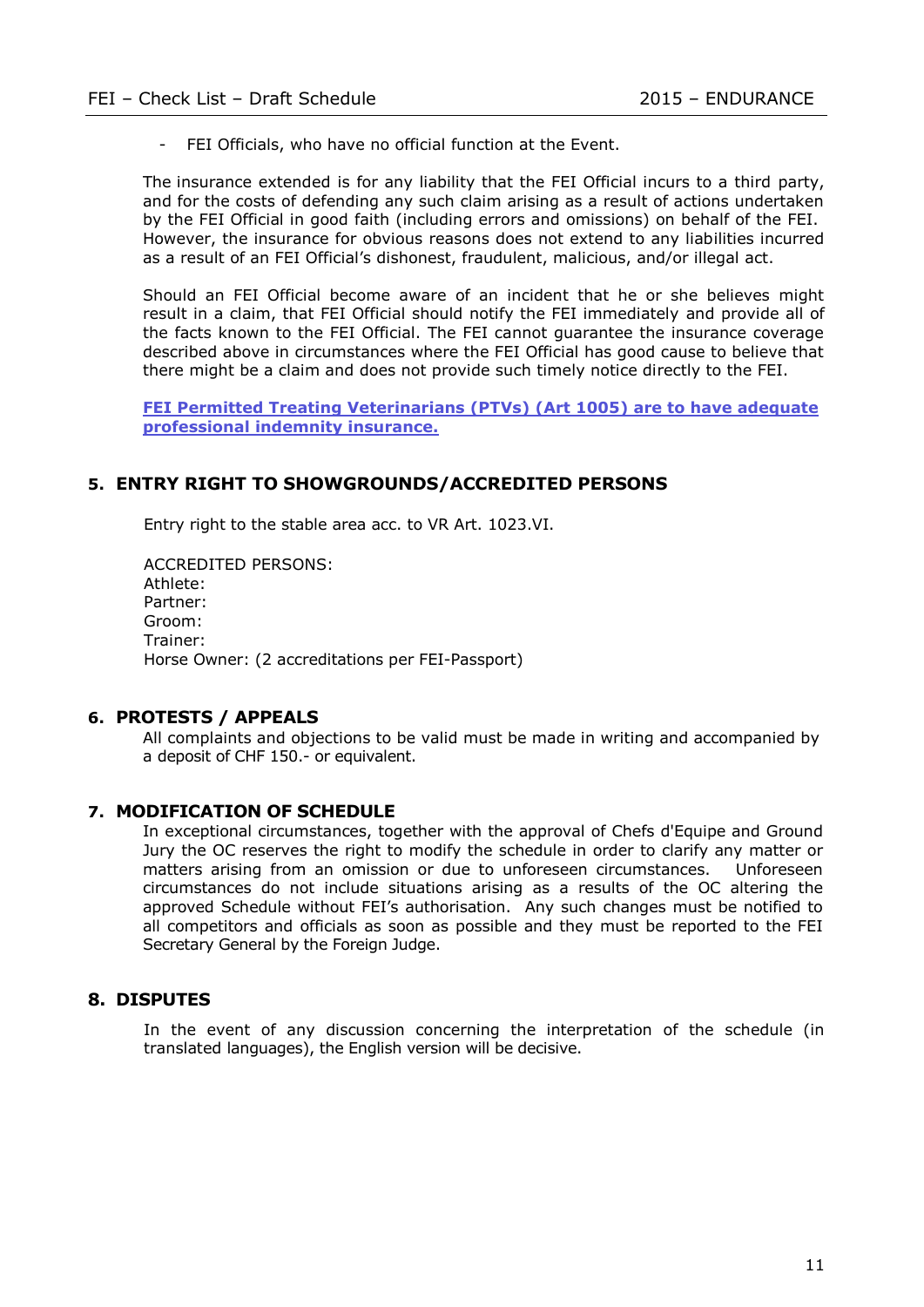- FEI Officials, who have no official function at the Event.

The insurance extended is for any liability that the FEI Official incurs to a third party, and for the costs of defending any such claim arising as a result of actions undertaken by the FEI Official in good faith (including errors and omissions) on behalf of the FEI. However, the insurance for obvious reasons does not extend to any liabilities incurred as a result of an FEI Official's dishonest, fraudulent, malicious, and/or illegal act.

Should an FEI Official become aware of an incident that he or she believes might result in a claim, that FEI Official should notify the FEI immediately and provide all of the facts known to the FEI Official. The FEI cannot guarantee the insurance coverage described above in circumstances where the FEI Official has good cause to believe that there might be a claim and does not provide such timely notice directly to the FEI.

**FEI Permitted Treating Veterinarians (PTVs) (Art 1005) are to have adequate professional indemnity insurance.**

### **5. ENTRY RIGHT TO SHOWGROUNDS/ACCREDITED PERSONS**

Entry right to the stable area acc. to VR Art. 1023.VI.

ACCREDITED PERSONS: Athlete: Partner: Groom: Trainer: Horse Owner: (2 accreditations per FEI-Passport)

#### **6. PROTESTS / APPEALS**

All complaints and objections to be valid must be made in writing and accompanied by a deposit of CHF 150.- or equivalent.

#### **7. MODIFICATION OF SCHEDULE**

In exceptional circumstances, together with the approval of Chefs d'Equipe and Ground Jury the OC reserves the right to modify the schedule in order to clarify any matter or matters arising from an omission or due to unforeseen circumstances. Unforeseen circumstances do not include situations arising as a results of the OC altering the approved Schedule without FEI's authorisation. Any such changes must be notified to all competitors and officials as soon as possible and they must be reported to the FEI Secretary General by the Foreign Judge.

#### **8. DISPUTES**

In the event of any discussion concerning the interpretation of the schedule (in translated languages), the English version will be decisive.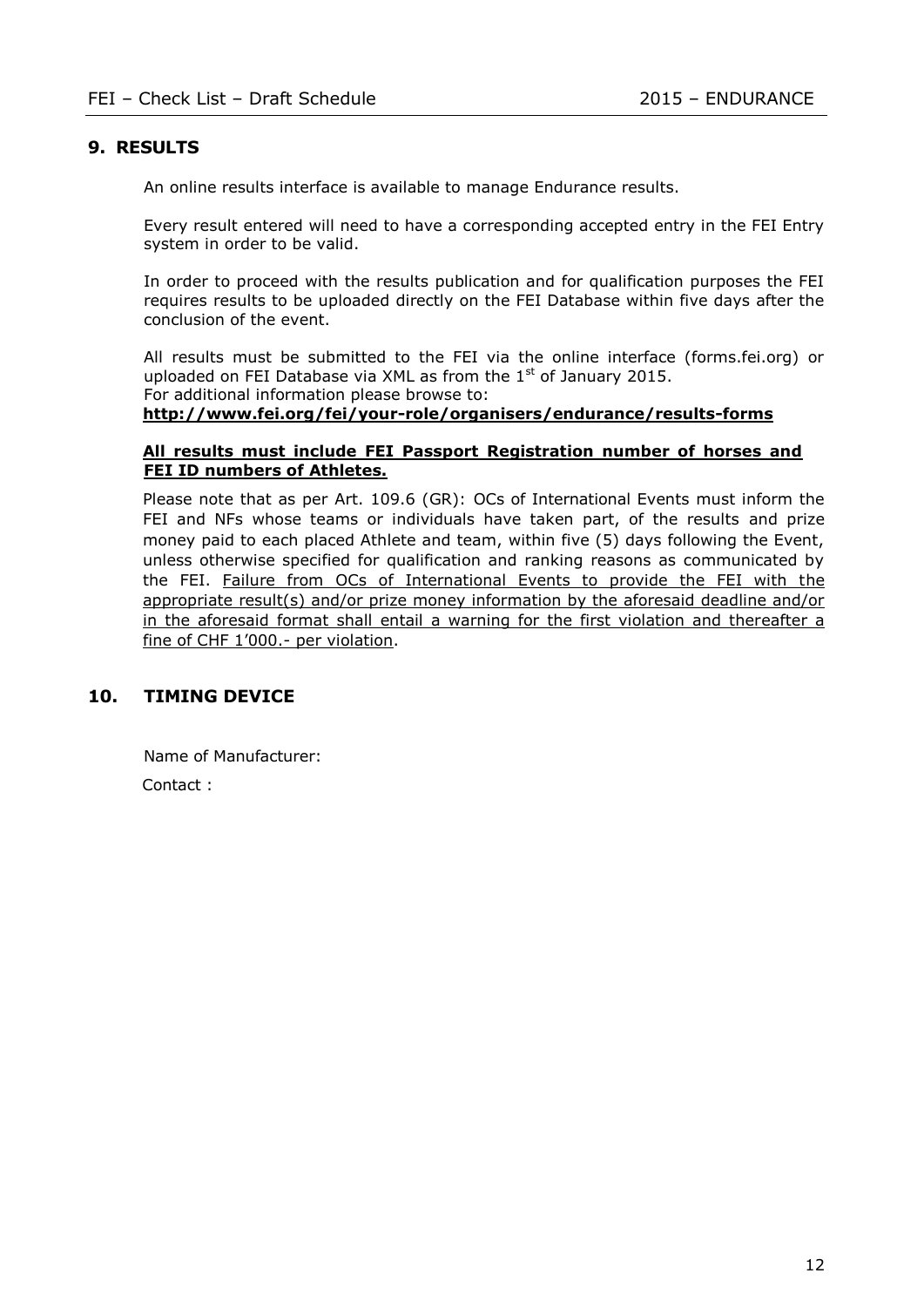### **9. RESULTS**

An online results interface is available to manage Endurance results.

Every result entered will need to have a corresponding accepted entry in the FEI Entry system in order to be valid.

In order to proceed with the results publication and for qualification purposes the FEI requires results to be uploaded directly on the FEI Database within five days after the conclusion of the event.

All results must be submitted to the FEI via the online interface (forms.fei.org) or uploaded on FEI Database via XML as from the  $1<sup>st</sup>$  of January 2015. For additional information please browse to:

**<http://www.fei.org/fei/your-role/organisers/endurance/results-forms>**

#### **All results must include FEI Passport Registration number of horses and FEI ID numbers of Athletes.**

Please note that as per Art. 109.6 (GR): OCs of International Events must inform the FEI and NFs whose teams or individuals have taken part, of the results and prize money paid to each placed Athlete and team, within five (5) days following the Event, unless otherwise specified for qualification and ranking reasons as communicated by the FEI. Failure from OCs of International Events to provide the FEI with the appropriate result(s) and/or prize money information by the aforesaid deadline and/or in the aforesaid format shall entail a warning for the first violation and thereafter a fine of CHF 1'000.- per violation.

### **10. TIMING DEVICE**

Name of Manufacturer:

Contact :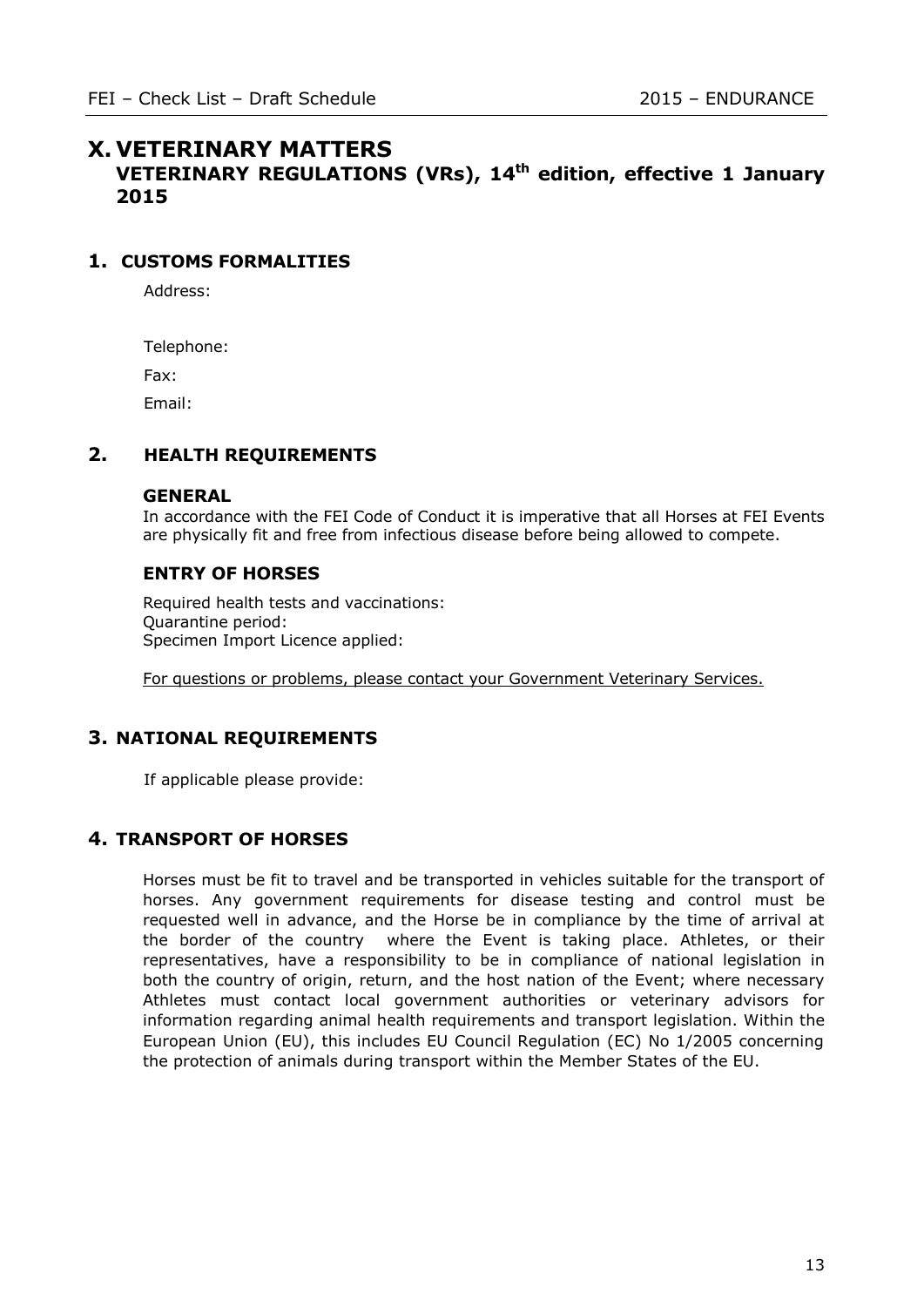# **X. VETERINARY MATTERS**

**VETERINARY REGULATIONS (VRs), 14th edition, effective 1 January 2015**

### **1. CUSTOMS FORMALITIES**

Address:

Telephone:

Fax:

Email:

## **2. HEALTH REQUIREMENTS**

#### **GENERAL**

In accordance with the FEI Code of Conduct it is imperative that all Horses at FEI Events are physically fit and free from infectious disease before being allowed to compete.

### **ENTRY OF HORSES**

Required health tests and vaccinations: Quarantine period: Specimen Import Licence applied:

For questions or problems, please contact your Government Veterinary Services.

## **3. NATIONAL REQUIREMENTS**

If applicable please provide:

## **4. TRANSPORT OF HORSES**

Horses must be fit to travel and be transported in vehicles suitable for the transport of horses. Any government requirements for disease testing and control must be requested well in advance, and the Horse be in compliance by the time of arrival at the border of the country where the Event is taking place. Athletes, or their representatives, have a responsibility to be in compliance of national legislation in both the country of origin, return, and the host nation of the Event; where necessary Athletes must contact local government authorities or veterinary advisors for information regarding animal health requirements and transport legislation. Within the European Union (EU), this includes EU Council Regulation (EC) No 1/2005 concerning the protection of animals during transport within the Member States of the EU.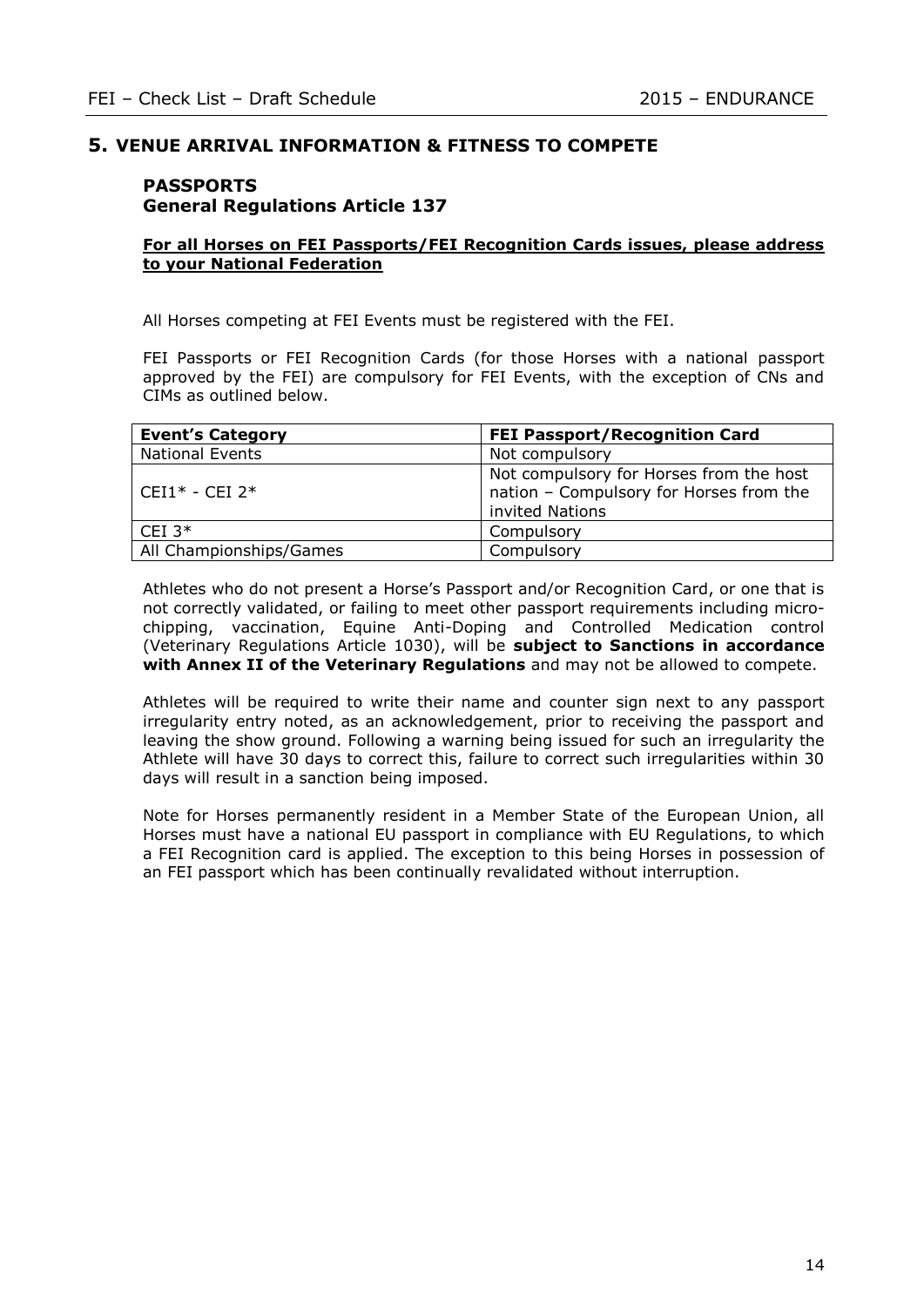### **5. VENUE ARRIVAL INFORMATION & FITNESS TO COMPETE**

### **PASSPORTS General Regulations Article 137**

#### **For all Horses on FEI Passports/FEI Recognition Cards issues, please address to your National Federation**

All Horses competing at FEI Events must be registered with the FEI.

FEI Passports or FEI Recognition Cards (for those Horses with a national passport approved by the FEI) are compulsory for FEI Events, with the exception of CNs and CIMs as outlined below.

| <b>Event's Category</b> | <b>FEI Passport/Recognition Card</b>                                                                  |
|-------------------------|-------------------------------------------------------------------------------------------------------|
| <b>National Events</b>  | Not compulsory                                                                                        |
| $CEI1* - CEI2*$         | Not compulsory for Horses from the host<br>nation - Compulsory for Horses from the<br>invited Nations |
| CEI $3*$                | Compulsory                                                                                            |
| All Championships/Games | Compulsory                                                                                            |

Athletes who do not present a Horse's Passport and/or Recognition Card, or one that is not correctly validated, or failing to meet other passport requirements including microchipping, vaccination, Equine Anti-Doping and Controlled Medication control (Veterinary Regulations Article 1030), will be **subject to Sanctions in accordance with Annex II of the Veterinary Regulations** and may not be allowed to compete.

Athletes will be required to write their name and counter sign next to any passport irregularity entry noted, as an acknowledgement, prior to receiving the passport and leaving the show ground. Following a warning being issued for such an irregularity the Athlete will have 30 days to correct this, failure to correct such irregularities within 30 days will result in a sanction being imposed.

Note for Horses permanently resident in a Member State of the European Union, all Horses must have a national EU passport in compliance with EU Regulations, to which a FEI Recognition card is applied. The exception to this being Horses in possession of an FEI passport which has been continually revalidated without interruption.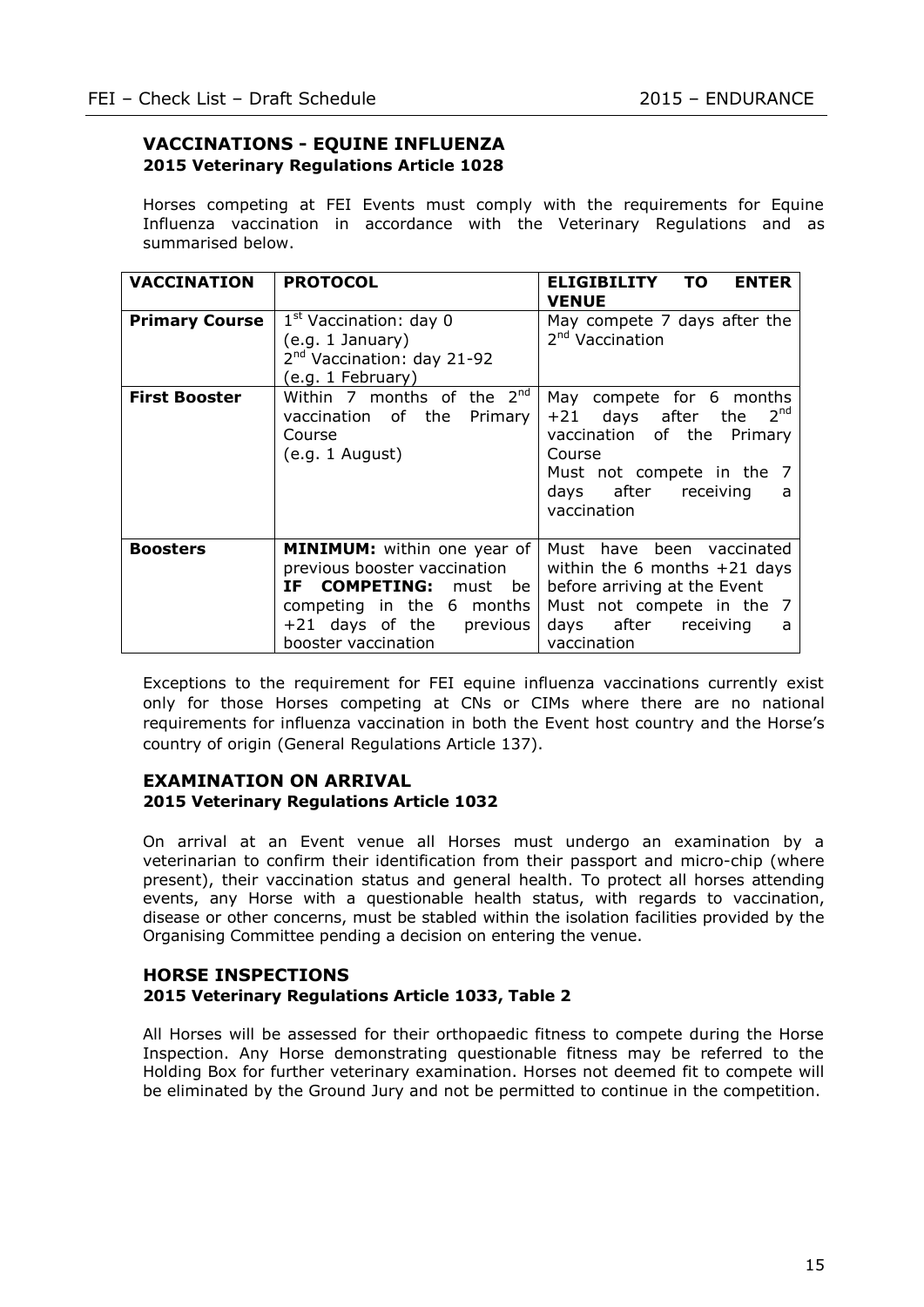### **VACCINATIONS - EQUINE INFLUENZA 2015 Veterinary Regulations Article 1028**

Horses competing at FEI Events must comply with the requirements for Equine Influenza vaccination in accordance with the Veterinary Regulations and as summarised below.

| <b>VACCINATION</b>                            | <b>PROTOCOL</b>                                                                                                                                                                  | <b>ENTER</b><br><b>ELIGIBILITY</b><br>TO.<br><b>VENUE</b>                                                                                                            |
|-----------------------------------------------|----------------------------------------------------------------------------------------------------------------------------------------------------------------------------------|----------------------------------------------------------------------------------------------------------------------------------------------------------------------|
| <b>Primary Course</b><br><b>First Booster</b> | $1st$ Vaccination: day 0<br>(e.g. 1 January)<br>2 <sup>nd</sup> Vaccination: day 21-92<br>(e.g. 1 February)<br>Within 7 months of the 2nd                                        | May compete 7 days after the<br>2 <sup>nd</sup> Vaccination<br>May compete for 6 months                                                                              |
|                                               | vaccination of the<br>Primary<br>Course<br>(e.g. 1 August)                                                                                                                       | +21 days after the $2^{nd}$<br>vaccination of the Primary<br>Course<br>Must not compete in the 7<br>days after receiving<br>a<br>vaccination                         |
| <b>Boosters</b>                               | <b>MINIMUM:</b> within one year of<br>previous booster vaccination<br>IF COMPETING: must be<br>competing in the 6 months<br>$+21$ days of the<br>previous<br>booster vaccination | Must have been vaccinated<br>within the 6 months $+21$ days<br>before arriving at the Event<br>Must not compete in the 7<br>days after receiving<br>a<br>vaccination |

Exceptions to the requirement for FEI equine influenza vaccinations currently exist only for those Horses competing at CNs or CIMs where there are no national requirements for influenza vaccination in both the Event host country and the Horse's country of origin (General Regulations Article 137).

#### **EXAMINATION ON ARRIVAL 2015 Veterinary Regulations Article 1032**

On arrival at an Event venue all Horses must undergo an examination by a veterinarian to confirm their identification from their passport and micro-chip (where present), their vaccination status and general health. To protect all horses attending events, any Horse with a questionable health status, with regards to vaccination, disease or other concerns, must be stabled within the isolation facilities provided by the Organising Committee pending a decision on entering the venue.

#### **HORSE INSPECTIONS 2015 Veterinary Regulations Article 1033, Table 2**

All Horses will be assessed for their orthopaedic fitness to compete during the Horse Inspection. Any Horse demonstrating questionable fitness may be referred to the Holding Box for further veterinary examination. Horses not deemed fit to compete will be eliminated by the Ground Jury and not be permitted to continue in the competition.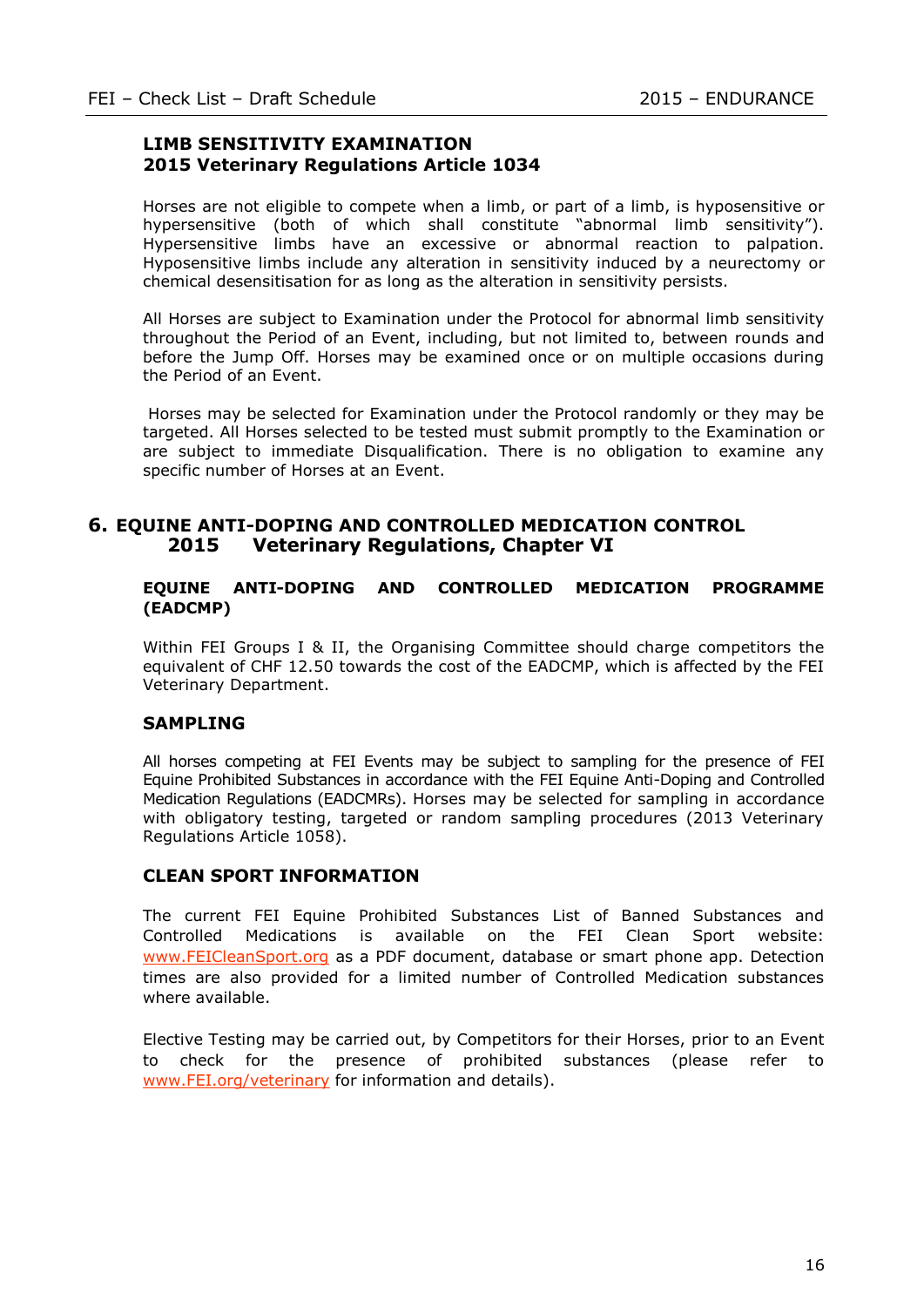### **LIMB SENSITIVITY EXAMINATION 2015 Veterinary Regulations Article 1034**

Horses are not eligible to compete when a limb, or part of a limb, is hyposensitive or hypersensitive (both of which shall constitute "abnormal limb sensitivity"). Hypersensitive limbs have an excessive or abnormal reaction to palpation. Hyposensitive limbs include any alteration in sensitivity induced by a neurectomy or chemical desensitisation for as long as the alteration in sensitivity persists.

All Horses are subject to Examination under the Protocol for abnormal limb sensitivity throughout the Period of an Event, including, but not limited to, between rounds and before the Jump Off. Horses may be examined once or on multiple occasions during the Period of an Event.

Horses may be selected for Examination under the Protocol randomly or they may be targeted. All Horses selected to be tested must submit promptly to the Examination or are subject to immediate Disqualification. There is no obligation to examine any specific number of Horses at an Event.

### **6. EQUINE ANTI-DOPING AND CONTROLLED MEDICATION CONTROL 2015 Veterinary Regulations, Chapter VI**

#### **EQUINE ANTI-DOPING AND CONTROLLED MEDICATION PROGRAMME (EADCMP)**

Within FEI Groups I & II, the Organising Committee should charge competitors the equivalent of CHF 12.50 towards the cost of the EADCMP, which is affected by the FEI Veterinary Department.

### **SAMPLING**

All horses competing at FEI Events may be subject to sampling for the presence of FEI Equine Prohibited Substances in accordance with the FEI Equine Anti-Doping and Controlled Medication Regulations (EADCMRs). Horses may be selected for sampling in accordance with obligatory testing, targeted or random sampling procedures (2013 Veterinary Regulations Article 1058).

### **CLEAN SPORT INFORMATION**

The current FEI Equine Prohibited Substances List of Banned Substances and Controlled Medications is available on the FEI Clean Sport website: [www.FEICleanSport.org](http://www.feicleansport.org/) as a PDF document, database or smart phone app. Detection times are also provided for a limited number of Controlled Medication substances where available.

Elective Testing may be carried out, by Competitors for their Horses, prior to an Event to check for the presence of prohibited substances (please refer to [www.FEI.org/veterinary](http://www.fei.org/veterinary) for information and details).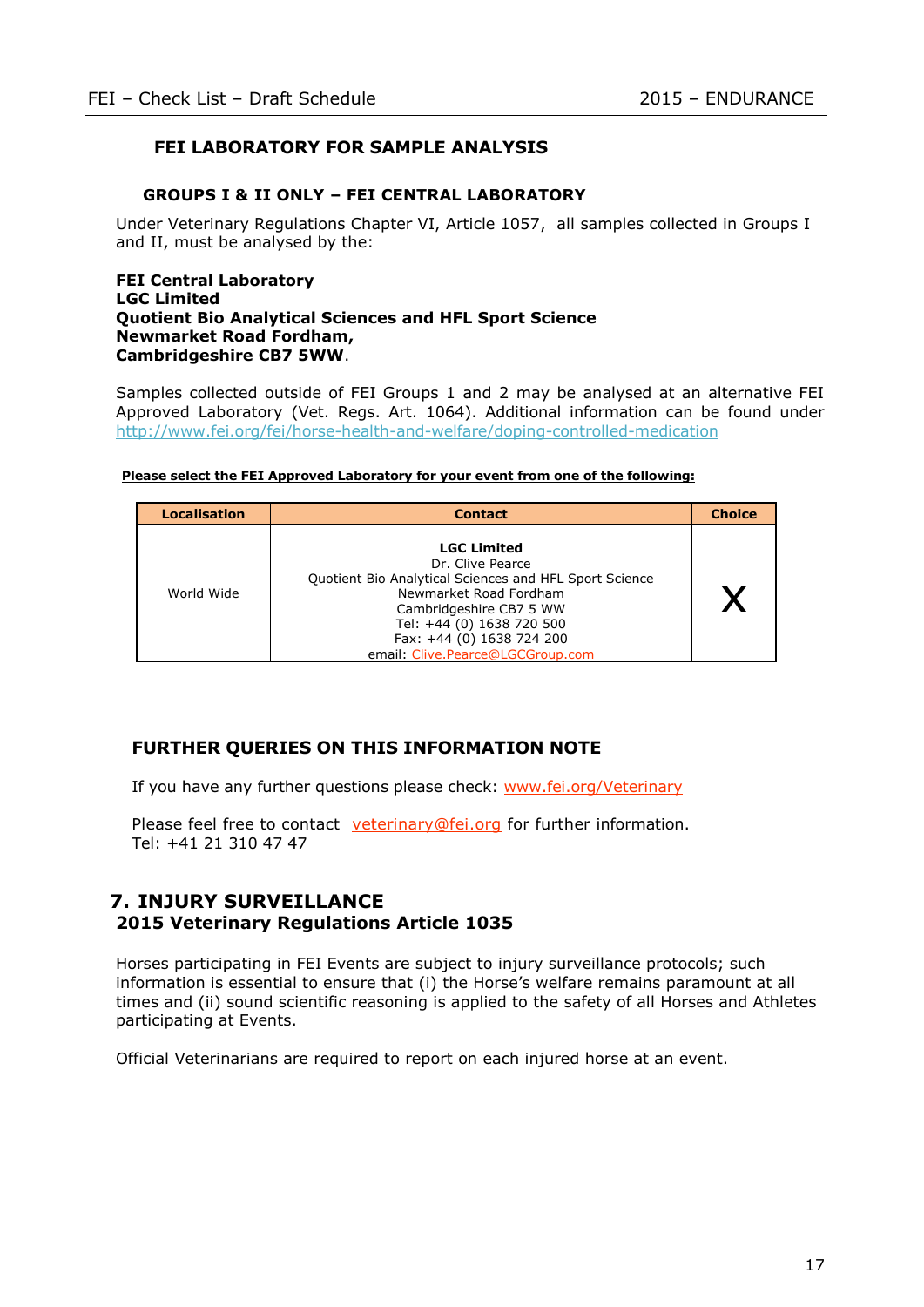## **FEI LABORATORY FOR SAMPLE ANALYSIS**

#### **GROUPS I & II ONLY – FEI CENTRAL LABORATORY**

Under Veterinary Regulations Chapter VI, Article 1057, all samples collected in Groups I and II, must be analysed by the:

#### **FEI Central Laboratory LGC Limited Quotient Bio Analytical Sciences and HFL Sport Science Newmarket Road Fordham, Cambridgeshire CB7 5WW**.

Samples collected outside of FEI Groups 1 and 2 may be analysed at an alternative FEI Approved Laboratory (Vet. Regs. Art. 1064). Additional information can be found under <http://www.fei.org/fei/horse-health-and-welfare/doping-controlled-medication>

| <b>Localisation</b> | <b>Contact</b>                                                                                                                                                                                                                                      | <b>Choice</b> |
|---------------------|-----------------------------------------------------------------------------------------------------------------------------------------------------------------------------------------------------------------------------------------------------|---------------|
| World Wide          | <b>LGC Limited</b><br>Dr. Clive Pearce<br>Quotient Bio Analytical Sciences and HFL Sport Science<br>Newmarket Road Fordham<br>Cambridgeshire CB7 5 WW<br>Tel: +44 (0) 1638 720 500<br>Fax: +44 (0) 1638 724 200<br>email: Clive.Pearce@LGCGroup.com |               |

#### **Please select the FEI Approved Laboratory for your event from one of the following:**

### **FURTHER QUERIES ON THIS INFORMATION NOTE**

If you have any further questions please check: [www.fei.org/Veterinary](file://srvdcch01/san/old_windata/data/WINDATA/NOS/VEU/AppData/Local/Microsoft/Windows/Temporary%20Internet%20Files/Content.Outlook/1W63BF58/www.fei.org/Veterinary)

Please feel free to contact veterinary@fei.org for further information. Tel: +41 21 310 47 47

### **7. INJURY SURVEILLANCE 2015 Veterinary Regulations Article 1035**

Horses participating in FEI Events are subject to injury surveillance protocols; such information is essential to ensure that (i) the Horse's welfare remains paramount at all times and (ii) sound scientific reasoning is applied to the safety of all Horses and Athletes participating at Events.

Official Veterinarians are required to report on each injured horse at an event.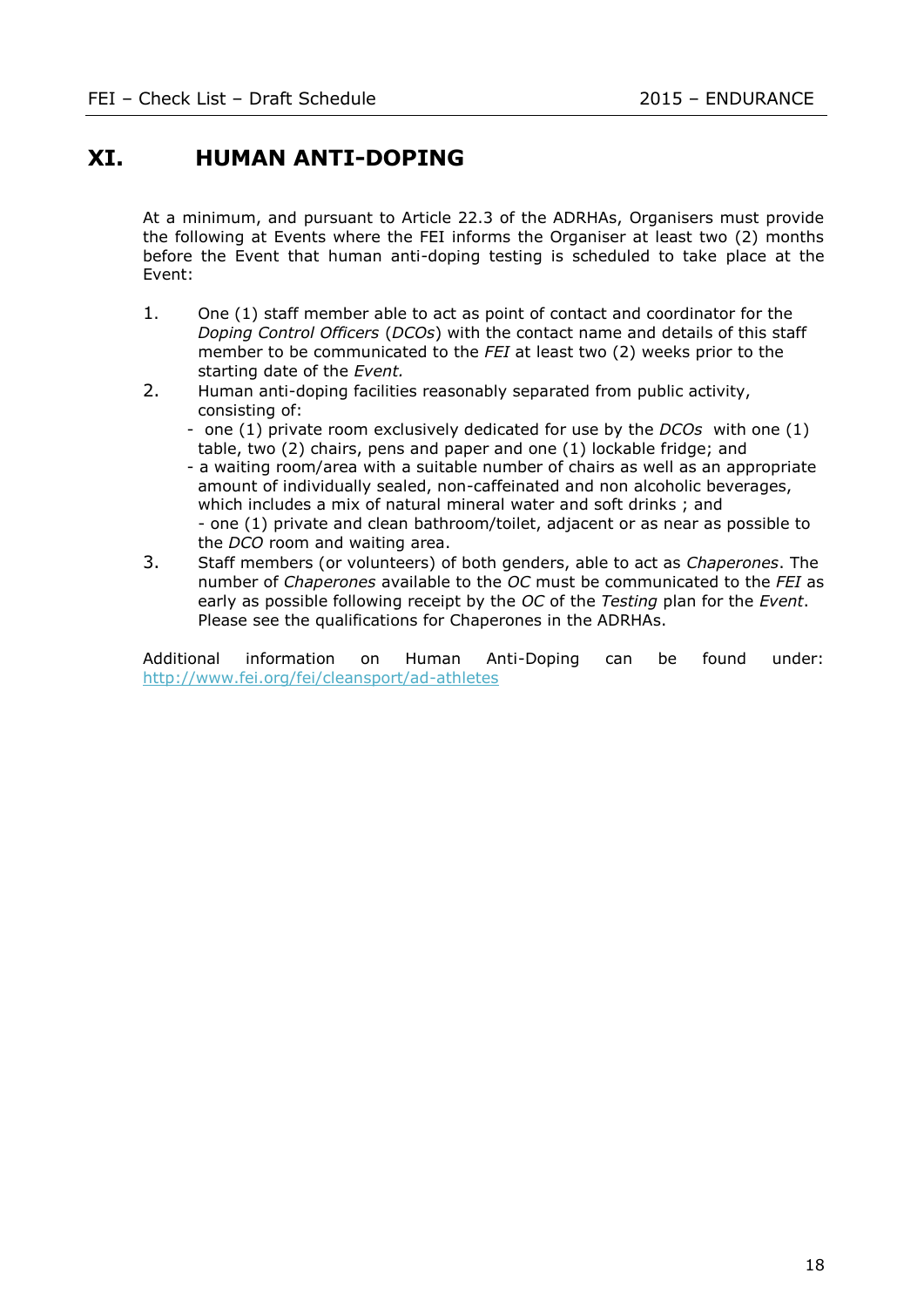# **XI. HUMAN ANTI-DOPING**

At a minimum, and pursuant to Article 22.3 of the ADRHAs, Organisers must provide the following at Events where the FEI informs the Organiser at least two (2) months before the Event that human anti-doping testing is scheduled to take place at the Event:

- 1. One (1) staff member able to act as point of contact and coordinator for the *Doping Control Officers* (*DCOs*) with the contact name and details of this staff member to be communicated to the *FEI* at least two (2) weeks prior to the starting date of the *Event.*
- 2. Human anti-doping facilities reasonably separated from public activity, consisting of:
	- one (1) private room exclusively dedicated for use by the *DCOs* with one (1) table, two (2) chairs, pens and paper and one (1) lockable fridge; and
	- a waiting room/area with a suitable number of chairs as well as an appropriate amount of individually sealed, non-caffeinated and non alcoholic beverages, which includes a mix of natural mineral water and soft drinks ; and - one (1) private and clean bathroom/toilet, adjacent or as near as possible to the *DCO* room and waiting area.
- 3. Staff members (or volunteers) of both genders, able to act as *Chaperones*. The number of *Chaperones* available to the *OC* must be communicated to the *FEI* as early as possible following receipt by the *OC* of the *Testing* plan for the *Event*. Please see the qualifications for Chaperones in the ADRHAs.

Additional information on Human Anti-Doping can be found under: <http://www.fei.org/fei/cleansport/ad-athletes>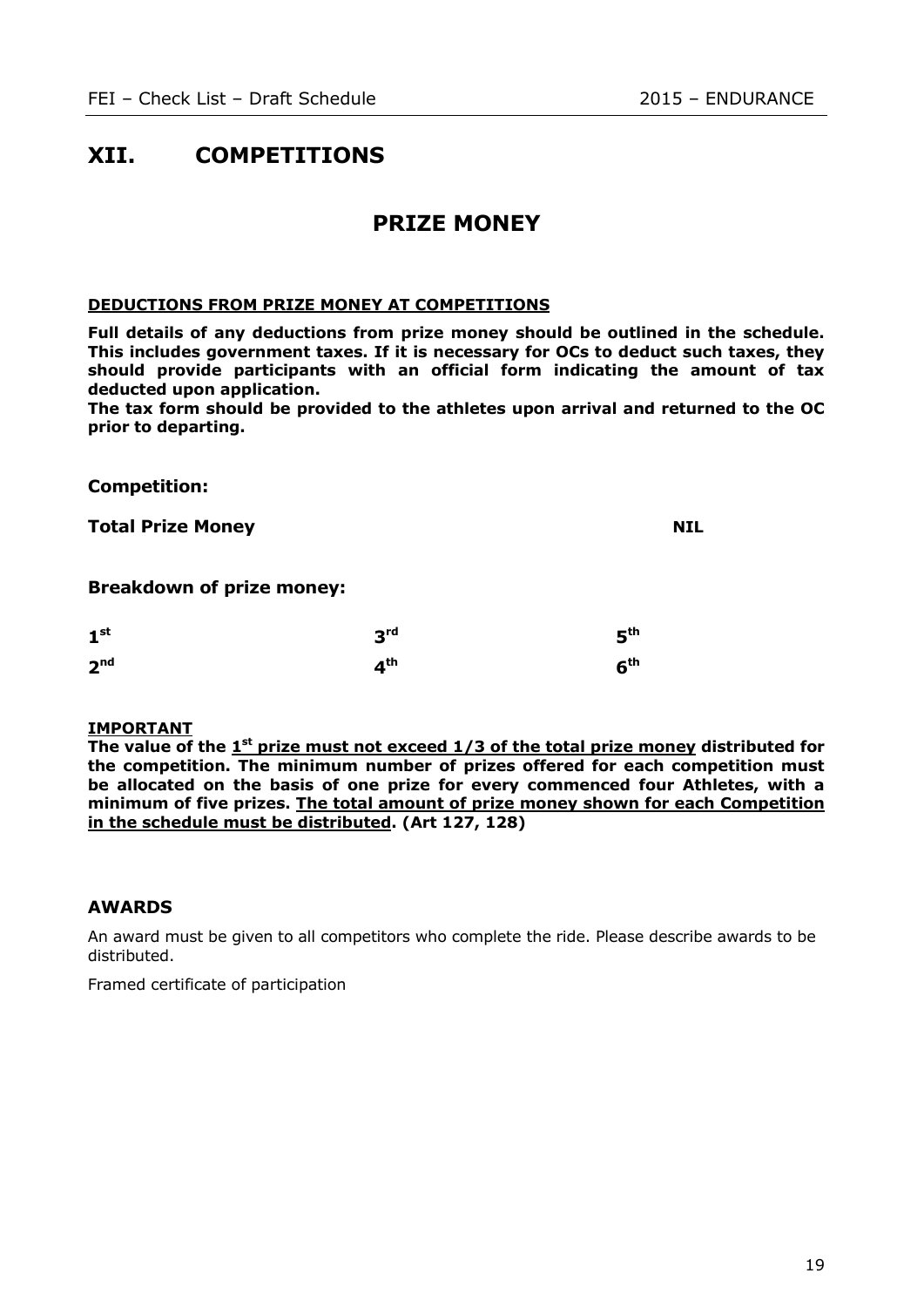# **XII. COMPETITIONS**

# **PRIZE MONEY**

#### **DEDUCTIONS FROM PRIZE MONEY AT COMPETITIONS**

**Full details of any deductions from prize money should be outlined in the schedule. This includes government taxes. If it is necessary for OCs to deduct such taxes, they should provide participants with an official form indicating the amount of tax deducted upon application.** 

**The tax form should be provided to the athletes upon arrival and returned to the OC prior to departing.**

**Competition:**

**Total Prize Money NIL**

**Breakdown of prize money:**

| 1 <sup>st</sup> | 3 <sup>rd</sup> | 5 <sup>th</sup> |  |
|-----------------|-----------------|-----------------|--|
| 2 <sup>nd</sup> | 4 <sup>th</sup> | 6 <sup>th</sup> |  |

#### **IMPORTANT**

The value of the 1<sup>st</sup> prize must not exceed 1/3 of the total prize money distributed for **the competition. The minimum number of prizes offered for each competition must be allocated on the basis of one prize for every commenced four Athletes, with a minimum of five prizes. The total amount of prize money shown for each Competition in the schedule must be distributed. (Art 127, 128)**

#### **AWARDS**

An award must be given to all competitors who complete the ride. Please describe awards to be distributed.

Framed certificate of participation